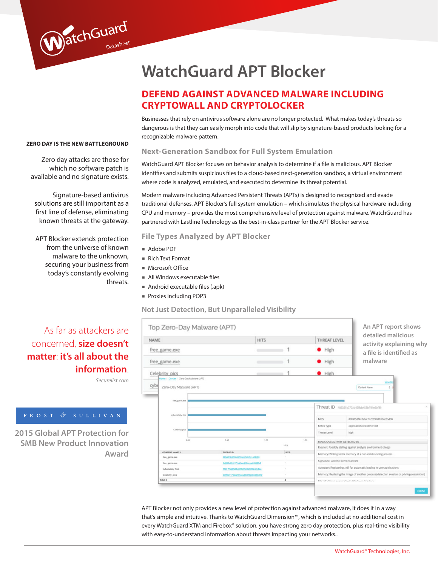# **WatchGuard APT Blocker**

### **DEFEND AGAINST ADVANCED MALWARE INCLUDING CRYPTOWALL AND CRYPTOLOCKER**

Businesses that rely on antivirus software alone are no longer protected. What makes today's threats so dangerous is that they can easily morph into code that will slip by signature-based products looking for a recognizable malware pattern.

### **ZERO DAY IS THE NEW BATTLEGROUND**

WatchGuard

Zero day attacks are those for which no software patch is available and no signature exists.

Signature-based antivirus solutions are still important as a first line of defense, eliminating known threats at the gateway.

APT Blocker extends protection from the universe of known malware to the unknown, securing your business from today's constantly evolving threats.

### **Next-Generation Sandbox for Full System Emulation**

WatchGuard APT Blocker focuses on behavior analysis to determine if a file is malicious. APT Blocker identifies and submits suspicious files to a cloud-based next-generation sandbox, a virtual environment where code is analyzed, emulated, and executed to determine its threat potential.

Modern malware including Advanced Persistent Threats (APTs) is designed to recognized and evade traditional defenses. APT Blocker's full system emulation – which simulates the physical hardware including CPU and memory – provides the most comprehensive level of protection against malware. WatchGuard has partnered with Lastline Technology as the best-in-class partner for the APT Blocker service.

### **File Types Analyzed by APT Blocker**

- Adobe PDF
- Rich Text Format
- Microsoft Office
- § All Windows executable files
- § Android executable files (.apk)
- § Proxies including POP3

### **Not Just Detection, But Unparalleled Visibility**

| <b>NAME</b><br>free_game.exe                         |                                            | <b>HITS</b>  |               |                                                                                            | <b>THREAT LEVEL</b>                                                     | detailed malicious                                     |  |
|------------------------------------------------------|--------------------------------------------|--------------|---------------|--------------------------------------------------------------------------------------------|-------------------------------------------------------------------------|--------------------------------------------------------|--|
|                                                      |                                            |              |               |                                                                                            | High                                                                    | activity explaining why<br>a file is identified as     |  |
| free_game.exe                                        |                                            |              |               |                                                                                            | High                                                                    | malware                                                |  |
| Celebrity_pics                                       |                                            |              |               |                                                                                            | $\bullet$ High                                                          |                                                        |  |
| cybe<br>Zero-Day Malware (APT)                       |                                            |              |               |                                                                                            |                                                                         | <b>View De</b><br>Content Name<br>$\ddot{\phantom{a}}$ |  |
| free_game.exe                                        |                                            |              |               |                                                                                            |                                                                         | Threat ID 485321b3702d45ffab453bff41e5bf89             |  |
| cybersafety_tips                                     |                                            |              |               |                                                                                            | MD5                                                                     | dd0af53fec2267757cd90d633acd549a                       |  |
| Celebrity_pics                                       |                                            |              |               |                                                                                            | MIME Type<br>Threat Level                                               | application/x-lastline-test<br>high                    |  |
| 0.00                                                 | 0.50                                       | 1.00         | 1.50<br>Hits  |                                                                                            | MALICIOUS ACTIVITY DETECTED (7)                                         |                                                        |  |
| THREAT ID<br>CONTENT NAME &                          |                                            | нета         |               |                                                                                            | Evasion: Possibly stalling against analysis environment (sleep)         |                                                        |  |
| 485321b3702d45ffab453bff41e5bf89<br>free_game.exe    |                                            | $\mathbb{R}$ |               |                                                                                            | Memory: Writing to the memory of a non-child running process            |                                                        |  |
| free_game.exe                                        | 4d030df40174a2aad20dc4ad4500fe8            |              | $\mathcal{L}$ |                                                                                            | Signature: Lastline Demo Malware                                        |                                                        |  |
| 150171e02e064d5597e39d098ca7dfac<br>cybersafety_tips |                                            | $\gamma$     |               |                                                                                            | Autostart: Registering a dll for automatic loading in user applications |                                                        |  |
|                                                      | b3960717b0a247aca86028e3b536b449<br>$\tau$ |              |               | Memory: Replacing the image of another process (detection evasion or privilege escalation) |                                                                         |                                                        |  |
| Celebrity_pics                                       |                                            |              |               |                                                                                            |                                                                         |                                                        |  |

APT Blocker not only provides a new level of protection against advanced malware, it does it in a way that's simple and intuitive. Thanks to WatchGuard Dimension™, which is included at no additional cost in every WatchGuard XTM and Firebox® solution, you have strong zero day protection, plus real-time visibility with easy-to-understand information about threats impacting your networks..

### As far as attackers are concerned, **size doesn't matter**: **it's all about the information**.

*Securelist.com*

**2015 Global APT Protection for SMB New Product Innovation Award**